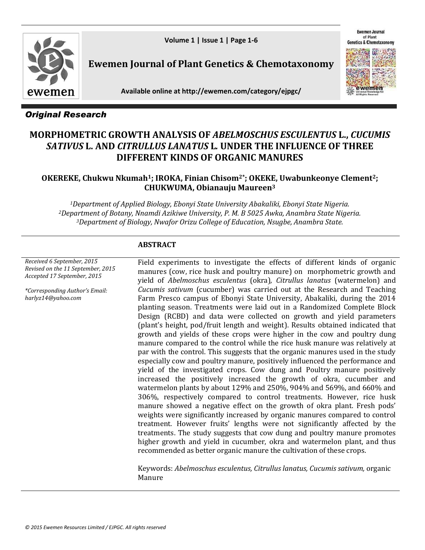**Volume 1 | Issue 1 | Page 1-6**

**Ewemen Journal** of Plant etics & Chemot



**Ewemen Journal of Plant Genetics & Chemotaxonomy** 

**Available online at http://ewemen.com/category/ejpgc/**



# *Original Research*

# **MORPHOMETRIC GROWTH ANALYSIS OF** *ABELMOSCHUS ESCULENTUS* **L.,** *CUCUMIS SATIVUS* **L. AND** *CITRULLUS LANATUS* **L***.* **UNDER THE INFLUENCE OF THREE DIFFERENT KINDS OF ORGANIC MANURES**

# **OKEREKE, Chukwu Nkumah1; IROKA, Finian Chisom2\*; OKEKE, Uwabunkeonye Clement2; CHUKWUMA, Obianauju Maureen<sup>3</sup>**

*<sup>1</sup>Department of Applied Biology, Ebonyi State University Abakaliki, Ebonyi State Nigeria. <sup>2</sup>Department of Botany, Nnamdi Azikiwe University, P. M. B 5025 Awka, Anambra State Nigeria. <sup>3</sup>Department of Biology, Nwafor Orizu College of Education, Nsugbe, Anambra State.*

### **ABSTRACT**

*Received 6 September, 2015 Revised on the 11 September, 2015 Accepted 17 September, 2015*

*\*Corresponding Author's Email: harlyz14@yahoo.com*

Field experiments to investigate the effects of different kinds of organic manures (cow, rice husk and poultry manure) on morphometric growth and yield of *Abelmoschus esculentus* (okra)*, Citrullus lanatus* (watermelon) and *Cucumis sativum* (cucumber) was carried out at the Research and Teaching Farm Presco campus of Ebonyi State University, Abakaliki, during the 2014 planting season. Treatments were laid out in a Randomized Complete Block Design (RCBD) and data were collected on growth and yield parameters (plant's height, pod/fruit length and weight). Results obtained indicated that growth and yields of these crops were higher in the cow and poultry dung manure compared to the control while the rice husk manure was relatively at par with the control. This suggests that the organic manures used in the study especially cow and poultry manure, positively influenced the performance and yield of the investigated crops. Cow dung and Poultry manure positively increased the positively increased the growth of okra, cucumber and watermelon plants by about 129% and 250%, 904% and 569%, and 660% and 306%, respectively compared to control treatments. However, rice husk manure showed a negative effect on the growth of okra plant. Fresh pods' weights were significantly increased by organic manures compared to control treatment. However fruits' lengths were not significantly affected by the treatments. The study suggests that cow dung and poultry manure promotes higher growth and yield in cucumber, okra and watermelon plant, and thus recommended as better organic manure the cultivation of these crops.

Keywords: *Abelmoschus esculentus, Citrullus lanatus, Cucumis sativum,* organic Manure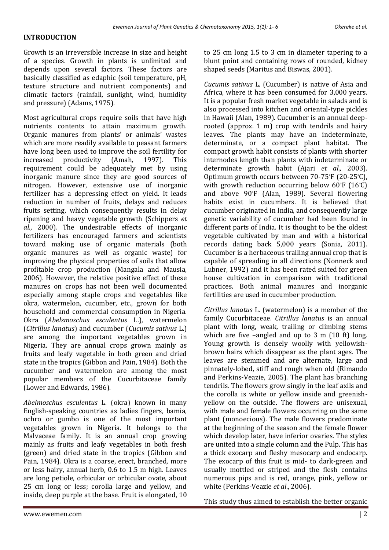# **INTRODUCTION**

Growth is an irreversible increase in size and height of a species. Growth in plants is unlimited and depends upon several factors. These factors are basically classified as edaphic (soil temperature, pH, texture structure and nutrient components) and climatic factors (rainfall, sunlight, wind, humidity and pressure) (Adams, 1975).

Most agricultural crops require soils that have high nutrients contents to attain maximum growth. Organic manures from plants' or animals' wastes which are more readily available to peasant farmers have long been used to improve the soil fertility for increased productivity (Amah, 1997). This requirement could be adequately met by using inorganic manure since they are good sources of nitrogen. However, extensive use of inorganic fertilizer has a depressing effect on yield. It leads reduction in number of fruits, delays and reduces fruits setting, which consequently results in delay ripening and heavy vegetable growth (Schippers *et al*., 2000). The undesirable effects of inorganic fertilizers has encouraged farmers and scientists toward making use of organic materials (both organic manures as well as organic waste) for improving the physical properties of soils that allow profitable crop production (Mangala and Mausia, 2006). However, the relative positive effect of these manures on crops has not been well documented especially among staple crops and vegetables like okra, watermelon, cucumber, etc., grown for both household and commercial consumption in Nigeria. Okra (*Abelsmoschus esculentus* L.)*,* watermelon (*Citrillus lanatus*) and cucumber (*Cucumis sativus* L.) are among the important vegetables grown in Nigeria. They are annual crops grown mainly as fruits and leafy vegetable in both green and dried state in the tropics (Gibbon and Pain, 1984). Both the cucumber and watermelon are among the most popular members of the Cucurbitaceae family (Lower and Edwards, 1986).

*Abelmoschus esculentus* L. (okra) known in many English-speaking countries as ladies fingers, bamia, ochro or gumbo is one of the most important vegetables grown in Nigeria. It belongs to the Malvaceae family. It is an annual crop growing mainly as fruits and leafy vegetables in both fresh (green) and dried state in the tropics (Gibbon and Pain*,* 1984). Okra is a coarse, erect, branched, more or less hairy, annual herb, 0.6 to 1.5 m high. Leaves are long petiole, orbicular or orbicular ovate, about 25 cm long or less; corolla large and yellow, and inside, deep purple at the base. Fruit is elongated, 10

to 25 cm long 1.5 to 3 cm in diameter tapering to a blunt point and containing rows of rounded, kidney shaped seeds (Maritus and Biswas, 2001).

*Cucumis sativus* L. (Cucumber) is native of Asia and Africa, where it has been consumed for 3,000 years. It is a popular fresh market vegetable in salads and is also processed into kitchen and oriental-type pickles in Hawaii (Alan, 1989). Cucumber is an annual deeprooted (approx. 1 m) crop with tendrils and hairy leaves. The plants may have an indeterminate, determinate, or a compact plant habitat. The compact growth habit consists of plants with shorter internodes length than plants with indeterminate or determinate growth habit (Ajari *et al.,* 2003). Optimum growth occurs between 70-75°F (20-25°C), with growth reduction occurring below 60°F (16°C) and above 90°F (Alan, 1989). Several flowering habits exist in cucumbers. It is believed that cucumber originated in India, and consequently large genetic variability of cucumber had been found in different parts of India. It is thought to be the oldest vegetable cultivated by man and with a historical records dating back 5,000 years (Sonia, 2011). Cucumber is a herbaceous trailing annual crop that is capable of spreading in all directions (Nonneck and Lubner, 1992) and it has been rated suited for green house cultivation in comparison with traditional practices. Both animal manures and inorganic fertilities are used in cucumber production.

*Citrillus lanatus* L. (watermelon) is a member of the family Cucurbitaceae. *Citrillus lanatus* is an annual plant with long, weak, trailing or climbing stems which are five –angled and up to 3 m (10 ft) long. Young growth is densely woolly with yellowishbrown hairs which disappear as the plant ages. The leaves are stemmed and are alternate, large and pinnately-lobed, stiff and rough when old (Rimando and Perkins-Veazie, 2005). The plant has branching tendrils. The flowers grow singly in the leaf axils and the corolla is white or yellow inside and greenishyellow on the outside. The flowers are unisexual, with male and female flowers occurring on the same plant (monoecious). The male flowers predominate at the beginning of the season and the female flower which develop later, have inferior ovaries. The styles are united into a single column and the Pulp. This has a thick exocarp and fleshy mesocarp and endocarp. The exocarp of this fruit is mid- to dark-green and usually mottled or striped and the flesh contains numerous pips and is red, orange, pink, yellow or white (Perkins-Veazie *et al*., 2006).

This study thus aimed to establish the better organic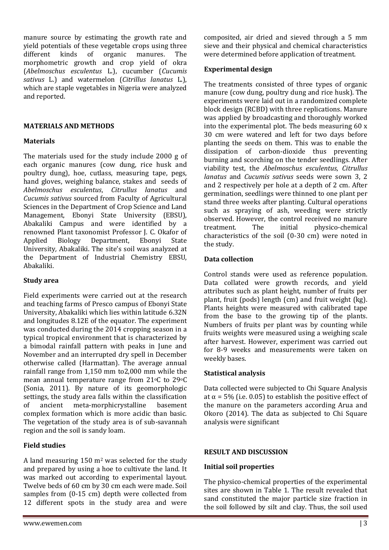manure source by estimating the growth rate and yield potentials of these vegetable crops using three different kinds of organic manures. The morphometric growth and crop yield of okra (*Abelmoschus esculentus* L.), cucumber (*Cucumis sativus* L.) and watermelon (*Citrillus lanatus* L*.*), which are staple vegetables in Nigeria were analyzed and reported.

#### **MATERIALS AND METHODS**

### **Materials**

The materials used for the study include 2000 g of each organic manures (cow dung, rice husk and poultry dung), hoe, cutlass, measuring tape, pegs, hand gloves, weighing balance, stakes and seeds of *Abelmoschus esculentus*, *Citrullus lanatus* and *Cucumis sativus* sourced from Faculty of Agricultural Sciences in the Department of Crop Science and Land Management, Ebonyi State University (EBSU), Abakaliki Campus and were identified by a renowned Plant taxonomist Professor J. C. Okafor of Applied Biology Department, Ebonyi State University*,* Abakaliki. The site's soil was analyzed at the Department of Industrial Chemistry EBSU, Abakaliki.

#### **Study area**

Field experiments were carried out at the research and teaching farms of Presco campus of Ebonyi State University, Abakaliki which lies within latitude 6.32N and longitudes 8.12E of the equator. The experiment was conducted during the 2014 cropping season in a typical tropical environment that is characterized by a bimodal rainfall pattern with peaks in June and November and an interrupted dry spell in December otherwise called (Harmattan). The average annual rainfall range from 1,150 mm to2,000 mm while the mean annual temperature range from 21°C to 29°C (Sonia, 2011). By nature of its geomorphologic settings, the study area falls within the classification of ancient meta-morphicrystalline basement complex formation which is more acidic than basic. The vegetation of the study area is of sub-savannah region and the soil is sandy loam.

# **Field studies**

A land measuring  $150 \text{ m}^2$  was selected for the study and prepared by using a hoe to cultivate the land. It was marked out according to experimental layout. Twelve beds of 60 cm by 30 cm each were made. Soil samples from (0-15 cm) depth were collected from 12 different spots in the study area and were composited, air dried and sieved through a 5 mm sieve and their physical and chemical characteristics were determined before application of treatment.

### **Experimental design**

The treatments consisted of three types of organic manure (cow dung, poultry dung and rice husk). The experiments were laid out in a randomized complete block design (RCBD) with three replications. Manure was applied by broadcasting and thoroughly worked into the experimental plot. The beds measuring 60 x 30 cm were watered and left for two days before planting the seeds on them. This was to enable the dissipation of carbon-dioxide thus preventing burning and scorching on the tender seedlings. After viability test, the *Abelmoschus esculentus*, *Citrullus lanatus* and *Cucumis sativus* seeds were sown 3, 2 and 2 respectively per hole at a depth of 2 cm. After germination, seedlings were thinned to one plant per stand three weeks after planting. Cultural operations such as spraying of ash, weeding were strictly observed. However, the control received no manure treatment. The initial physico-chemical characteristics of the soil (0-30 cm) were noted in the study.

### **Data collection**

Control stands were used as reference population. Data collated were growth records, and yield attributes such as plant height, number of fruits per plant, fruit (pods) length (cm) and fruit weight (kg). Plants heights were measured with calibrated tape from the base to the growing tip of the plants. Numbers of fruits per plant was by counting while fruits weights were measured using a weighing scale after harvest. However, experiment was carried out for 8-9 weeks and measurements were taken on weekly bases.

# **Statistical analysis**

Data collected were subjected to Chi Square Analysis at  $\alpha$  = 5% (i.e. 0.05) to establish the positive effect of the manure on the parameters according Arua and Okoro (2014). The data as subjected to Chi Square analysis were significant

# **RESULT AND DISCUSSION**

# **Initial soil properties**

The physico-chemical properties of the experimental sites are shown in Table 1. The result revealed that sand constituted the major particle size fraction in the soil followed by silt and clay. Thus, the soil used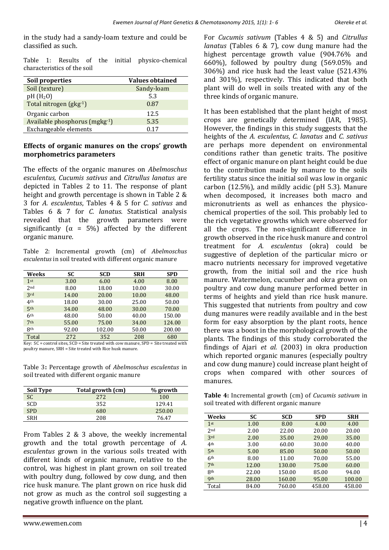in the study had a sandy-loam texture and could be classified as such.

Table 1: Results of the initial physico-chemical characteristics of the soil

| Soil properties               | <b>Values obtained</b> |
|-------------------------------|------------------------|
| Soil (texture)                | Sandy-loam             |
| $pH(H_2O)$                    | 5.3                    |
| Total nitrogen (gkg-1)        | 0.87                   |
| Organic carbon                | 12.5                   |
| Available phosphorus (mgkg-1) | 5.35                   |
| Exchangeable elements         | 0.17                   |

#### **Effects of organic manures on the crops' growth morphometrics parameters**

The effects of the organic manures on *Abelmoschus esculentus, Cucumis sativus* and *Citrullus lanatus* are depicted in Tables 2 to 11. The response of plant height and growth percentage is shown in Table 2 & 3 for *A. esculentus*, Tables 4 & 5 for *C. sativus* and Tables 6 & 7 for *C. lanatus*. Statistical analysis revealed that the growth parameters were significantly ( $\alpha = 5\%$ ) affected by the different organic manure.

Table 2: Incremental growth (cm) of *Abelmoschus esculentus* in soil treated with different organic manure

| Weeks           | SC    | <b>SCD</b> | <b>SRH</b> | <b>SPD</b> |
|-----------------|-------|------------|------------|------------|
| 1st             | 3.00  | 6.00       | 4.00       | 8.00       |
| 2nd             | 8.00  | 18.00      | 10.00      | 30.00      |
| 3rd             | 14.00 | 20.00      | 10.00      | 48.00      |
| 4 <sup>th</sup> | 18.00 | 30.00      | 25.00      | 50.00      |
| 5 <sup>th</sup> | 34.00 | 48.00      | 30.00      | 70.00      |
| 6 <sup>th</sup> | 48.00 | 50.00      | 40.00      | 150.00     |
| 7 <sup>th</sup> | 55.00 | 75.00      | 34.00      | 124.00     |
| 8th             | 92.00 | 102.00     | 50.00      | 200.00     |
| Total           | 272   | 352        | 208        | 680        |

Key: SC = control sites, SCD = Site treated with cow manure, SPD = Site treated with poultry manure, SRH = Site treated with Rice husk manure.

Table 3**:** Percentage growth of *Abelmoschus esculentus* in soil treated with different organic manure

| <b>Soil Type</b> | Total growth (cm) | % growth |
|------------------|-------------------|----------|
| <b>SC</b>        | 2.72              | 100      |
| SCD              | 352               | 129.41   |
| <b>SPD</b>       | 680               | 250.00   |
| SRH              | 208               | 7647     |

From Tables 2 & 3 above, the weekly incremental growth and the total growth percentage of *A. esculentus* grown in the various soils treated with different kinds of organic manure, relative to the control, was highest in plant grown on soil treated with poultry dung, followed by cow dung, and then rice husk manure. The plant grown on rice husk did not grow as much as the control soil suggesting a negative growth influence on the plant.

For *Cucumis sativum* (Tables 4 & 5) and *Citrullus lanatus* (Tables 6 & 7), cow dung manure had the highest percentage growth value (904.76% and 660%), followed by poultry dung (569.05% and 306%) and rice husk had the least value (521.43% and 301%), respectively. This indicated that both plant will do well in soils treated with any of the three kinds of organic manure.

It has been established that the plant height of most crops are genetically determined (IAR, 1985). However, the findings in this study suggests that the heights of the *A. esculentus*, *C. lanatus* and *C. sativus* are perhaps more dependent on environmental conditions rather than genetic traits. The positive effect of organic manure on plant height could be due to the contribution made by manure to the soils fertility status since the initial soil was low in organic carbon (12.5%), and mildly acidic (pH 5.3). Manure when decomposed, it increases both macro and micronutrients as well as enhances the physicochemical properties of the soil. This probably led to the rich vegetative growths which were observed for all the crops. The non-significant difference in growth observed in the rice husk manure and control treatment for *A. esculentus* (okra) could be suggestive of depletion of the particular micro or macro nutrients necessary for improved vegetative growth, from the initial soil and the rice hush manure. Watermelon, cucumber and okra grown on poultry and cow dung manure performed better in terms of heights and yield than rice husk manure. This suggested that nutrients from poultry and cow dung manures were readily available and in the best form for easy absorption by the plant roots, hence there was a boost in the morphological growth of the plants. The findings of this study corroborated the findings of Ajari *et al.* (2003) in okra production which reported organic manures (especially poultry and cow dung manure) could increase plant height of crops when compared with other sources of manures.

**Table 4:** Incremental growth (cm) of *Cucumis sativum* in soil treated with different organic manure

| Weeks           | SC    | <b>SCD</b> | <b>SPD</b> | <b>SRH</b> |
|-----------------|-------|------------|------------|------------|
| $1$ st          | 1.00  | 8.00       | 4.00       | 4.00       |
| 2 <sub>nd</sub> | 2.00  | 22.00      | 20.00      | 20.00      |
| 3rd             | 2.00  | 35.00      | 29.00      | 35.00      |
| 4th             | 3.00  | 60.00      | 30.00      | 40.00      |
| 5 <sup>th</sup> | 5.00  | 85.00      | 50.00      | 50.00      |
| 6 <sup>th</sup> | 8.00  | 11.00      | 70.00      | 55.00      |
| 7 <sup>th</sup> | 12.00 | 130.00     | 75.00      | 60.00      |
| <b>8th</b>      | 22.00 | 150.00     | 85.00      | 94.00      |
| <b>9th</b>      | 28.00 | 160.00     | 95.00      | 100.00     |
| Total           | 84.00 | 760.00     | 458.00     | 458.00     |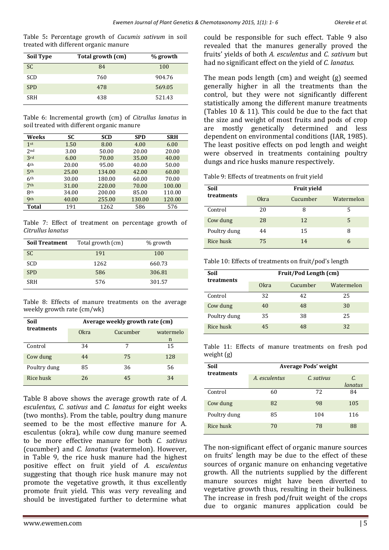Table 5**:** Percentage growth of *Cucumis sativum* in soil treated with different organic manure

| <b>Soil Type</b> | Total growth (cm) | % growth |
|------------------|-------------------|----------|
| <sub>SC</sub>    | 84                | 100      |
| <b>SCD</b>       | 760               | 904.76   |
| <b>SPD</b>       | 478               | 569.05   |
| <b>SRH</b>       | 438               | 521.43   |

Table 6: Incremental growth (cm) of *Citrullus lanatus* in soil treated with different organic manure

| Weeks           | SC    | <b>SCD</b> | <b>SPD</b> | <b>SRH</b> |
|-----------------|-------|------------|------------|------------|
| 1 <sup>st</sup> | 1.50  | 8.00       | 4.00       | 6.00       |
| 2 <sub>nd</sub> | 3.00  | 50.00      | 20.00      | 20.00      |
| 3rd             | 6.00  | 70.00      | 35.00      | 40.00      |
| 4th             | 20.00 | 95.00      | 40.00      | 50.00      |
| 5 <sup>th</sup> | 25.00 | 134.00     | 42.00      | 60.00      |
| 6 <sup>th</sup> | 30.00 | 180.00     | 60.00      | 70.00      |
| 7 <sup>th</sup> | 31.00 | 220.00     | 70.00      | 100.00     |
| <b>8th</b>      | 34.00 | 200.00     | 85.00      | 110.00     |
| <b>9th</b>      | 40.00 | 255.00     | 130.00     | 120.00     |
| <b>Total</b>    | 191   | 1262       | 586        | 576        |

Table 7: Effect of treatment on percentage growth of *Citrullus lanatus*

| <b>Soil Treatment</b> | Total growth (cm) | % growth |
|-----------------------|-------------------|----------|
| <b>SC</b>             | 191               | 100      |
| <b>SCD</b>            | 1262              | 660.73   |
| <b>SPD</b>            | 586               | 306.81   |
| <b>SRH</b>            | 576               | 301.57   |

Table 8: Effects of manure treatments on the average weekly growth rate (cm/wk)

| Soil<br>treatments | Average weekly growth rate (cm) |          |           |  |
|--------------------|---------------------------------|----------|-----------|--|
|                    | 0kra                            | Cucumber | watermelo |  |
|                    |                                 |          | n         |  |
| Control            | 34                              | 7        | 15        |  |
| Cow dung           | 44                              | 75       | 128       |  |
| Poultry dung       | 85                              | 36       | 56        |  |
| Rice husk          | 26                              | 45       | 34        |  |

Table 8 above shows the average growth rate of *A. esculentus, C. sativus* and *C. lanatus* for eight weeks (two months). From the table, poultry dung manure seemed to be the most effective manure for A. esculentus (okra), while cow dung manure seemed to be more effective manure for both *C. sativus*  (cucumber) and *C. lanatus* (watermelon). However, in Table 9, the rice husk manure had the highest positive effect on fruit yield of *A. esculentus* suggesting that though rice husk manure may not promote the vegetative growth, it thus excellently promote fruit yield. This was very revealing and should be investigated further to determine what could be responsible for such effect. Table 9 also revealed that the manures generally proved the fruits' yields of both *A. esculentus* and *C. sativum* but had no significant effect on the yield of *C. lanatus*.

The mean pods length (cm) and weight (g) seemed generally higher in all the treatments than the control, but they were not significantly different statistically among the different manure treatments (Tables 10 & 11). This could be due to the fact that the size and weight of most fruits and pods of crop are mostly genetically determined and less dependent on environmental conditions (IAR, 1985). The least positive effects on pod length and weight were observed in treatments containing poultry dungs and rice husks manure respectively.

Table 9: Effects of treatments on fruit yield

| Soil         |                  | <b>Fruit yield</b> |            |
|--------------|------------------|--------------------|------------|
| treatments   | 0 <sub>kra</sub> | Cucumber           | Watermelon |
| Control      | 20               | 8                  | 5          |
| Cow dung     | 28               | 12                 | 5          |
| Poultry dung | 44               | 15                 | 8          |
| Rice husk    | 75               | 14                 | h          |

Table 10: Effects of treatments on fruit/pod's length

| Soil<br>treatments | Fruit/Pod Length (cm) |          |            |  |
|--------------------|-----------------------|----------|------------|--|
|                    | 0kra                  | Cucumber | Watermelon |  |
| Control            | 32                    | 42       | 25         |  |
| Cow dung           | 40                    | 48       | 30         |  |
| Poultry dung       | 35                    | 38       | 25         |  |
| Rice husk          | 45                    | 48       | 32         |  |

Table 11: Effects of manure treatments on fresh pod weight (g)

| Soil<br>treatments | <b>Average Pods' weight</b> |            |               |
|--------------------|-----------------------------|------------|---------------|
|                    | A. esculentus               | C. sativus | С.<br>lanatus |
| Control            | 60                          | 72         | 84            |
| Cow dung           | 82                          | 98         | 105           |
| Poultry dung       | 85                          | 104        | 116           |
| Rice husk          | 70                          | 78         | 88            |

The non-significant effect of organic manure sources on fruits' length may be due to the effect of these sources of organic manure on enhancing vegetative growth. All the nutrients supplied by the different manure sources might have been diverted to vegetative growth thus, resulting in their bulkiness. The increase in fresh pod/fruit weight of the crops due to organic manures application could be